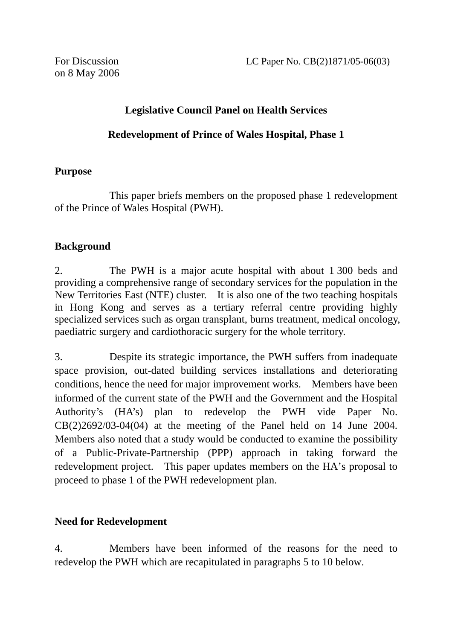on 8 May 2006

# **Legislative Council Panel on Health Services**

#### **Redevelopment of Prince of Wales Hospital, Phase 1**

#### **Purpose**

 This paper briefs members on the proposed phase 1 redevelopment of the Prince of Wales Hospital (PWH).

#### **Background**

2. The PWH is a major acute hospital with about 1 300 beds and providing a comprehensive range of secondary services for the population in the New Territories East (NTE) cluster. It is also one of the two teaching hospitals in Hong Kong and serves as a tertiary referral centre providing highly specialized services such as organ transplant, burns treatment, medical oncology, paediatric surgery and cardiothoracic surgery for the whole territory.

3. Despite its strategic importance, the PWH suffers from inadequate space provision, out-dated building services installations and deteriorating conditions, hence the need for major improvement works. Members have been informed of the current state of the PWH and the Government and the Hospital Authority's (HA's) plan to redevelop the PWH vide Paper No.  $CB(2)2692/03-04(04)$  at the meeting of the Panel held on 14 June 2004. Members also noted that a study would be conducted to examine the possibility of a Public-Private-Partnership (PPP) approach in taking forward the redevelopment project. This paper updates members on the HA's proposal to proceed to phase 1 of the PWH redevelopment plan.

## **Need for Redevelopment**

4. Members have been informed of the reasons for the need to redevelop the PWH which are recapitulated in paragraphs 5 to 10 below.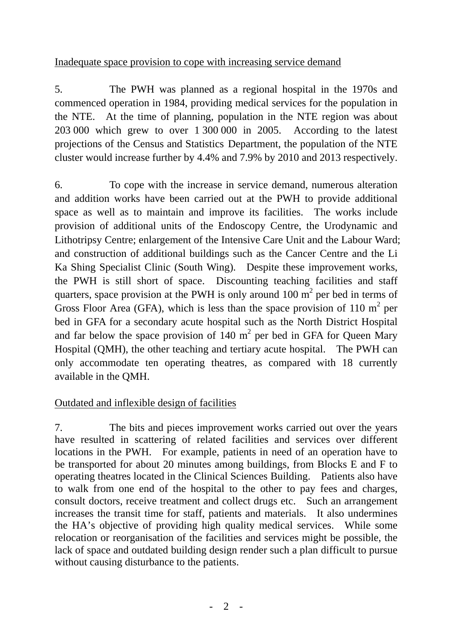#### Inadequate space provision to cope with increasing service demand

5. The PWH was planned as a regional hospital in the 1970s and commenced operation in 1984, providing medical services for the population in the NTE. At the time of planning, population in the NTE region was about 203 000 which grew to over 1 300 000 in 2005. According to the latest projections of the Census and Statistics Department, the population of the NTE cluster would increase further by 4.4% and 7.9% by 2010 and 2013 respectively.

6. To cope with the increase in service demand, numerous alteration and addition works have been carried out at the PWH to provide additional space as well as to maintain and improve its facilities. The works include provision of additional units of the Endoscopy Centre, the Urodynamic and Lithotripsy Centre; enlargement of the Intensive Care Unit and the Labour Ward; and construction of additional buildings such as the Cancer Centre and the Li Ka Shing Specialist Clinic (South Wing). Despite these improvement works, the PWH is still short of space. Discounting teaching facilities and staff quarters, space provision at the PWH is only around 100  $m^2$  per bed in terms of Gross Floor Area (GFA), which is less than the space provision of 110  $m^2$  per bed in GFA for a secondary acute hospital such as the North District Hospital and far below the space provision of 140  $m<sup>2</sup>$  per bed in GFA for Queen Mary Hospital (QMH), the other teaching and tertiary acute hospital. The PWH can only accommodate ten operating theatres, as compared with 18 currently available in the QMH.

## Outdated and inflexible design of facilities

7. The bits and pieces improvement works carried out over the years have resulted in scattering of related facilities and services over different locations in the PWH. For example, patients in need of an operation have to be transported for about 20 minutes among buildings, from Blocks E and F to operating theatres located in the Clinical Sciences Building. Patients also have to walk from one end of the hospital to the other to pay fees and charges, consult doctors, receive treatment and collect drugs etc. Such an arrangement increases the transit time for staff, patients and materials. It also undermines the HA's objective of providing high quality medical services. While some relocation or reorganisation of the facilities and services might be possible, the lack of space and outdated building design render such a plan difficult to pursue without causing disturbance to the patients.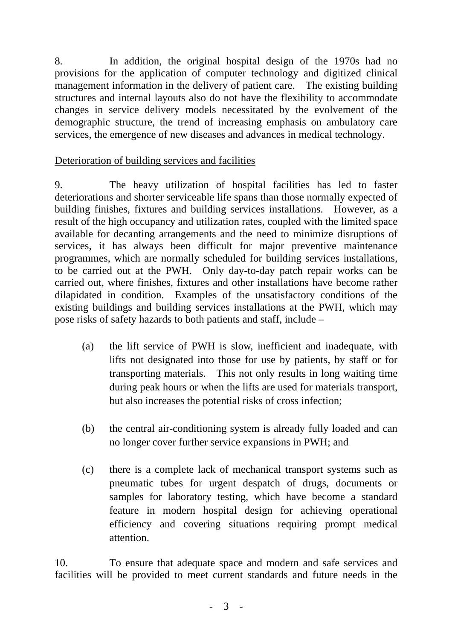8. In addition, the original hospital design of the 1970s had no provisions for the application of computer technology and digitized clinical management information in the delivery of patient care. The existing building structures and internal layouts also do not have the flexibility to accommodate changes in service delivery models necessitated by the evolvement of the demographic structure, the trend of increasing emphasis on ambulatory care services, the emergence of new diseases and advances in medical technology.

## Deterioration of building services and facilities

9. The heavy utilization of hospital facilities has led to faster deteriorations and shorter serviceable life spans than those normally expected of building finishes, fixtures and building services installations. However, as a result of the high occupancy and utilization rates, coupled with the limited space available for decanting arrangements and the need to minimize disruptions of services, it has always been difficult for major preventive maintenance programmes, which are normally scheduled for building services installations, to be carried out at the PWH. Only day-to-day patch repair works can be carried out, where finishes, fixtures and other installations have become rather dilapidated in condition. Examples of the unsatisfactory conditions of the existing buildings and building services installations at the PWH, which may pose risks of safety hazards to both patients and staff, include –

- (a) the lift service of PWH is slow, inefficient and inadequate, with lifts not designated into those for use by patients, by staff or for transporting materials. This not only results in long waiting time during peak hours or when the lifts are used for materials transport, but also increases the potential risks of cross infection;
- (b) the central air-conditioning system is already fully loaded and can no longer cover further service expansions in PWH; and
- (c) there is a complete lack of mechanical transport systems such as pneumatic tubes for urgent despatch of drugs, documents or samples for laboratory testing, which have become a standard feature in modern hospital design for achieving operational efficiency and covering situations requiring prompt medical attention.

10. To ensure that adequate space and modern and safe services and facilities will be provided to meet current standards and future needs in the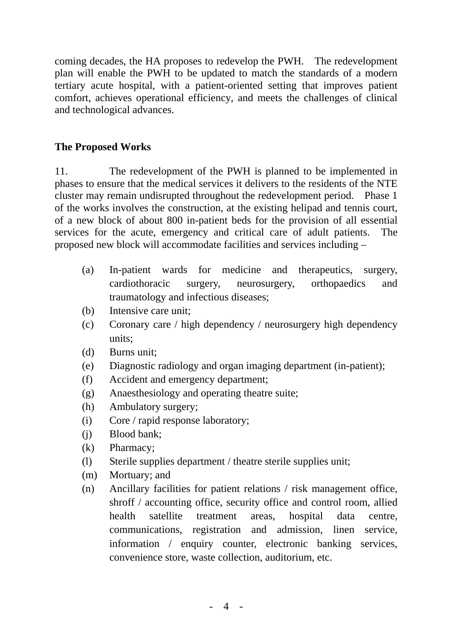coming decades, the HA proposes to redevelop the PWH. The redevelopment plan will enable the PWH to be updated to match the standards of a modern tertiary acute hospital, with a patient-oriented setting that improves patient comfort, achieves operational efficiency, and meets the challenges of clinical and technological advances.

## **The Proposed Works**

11. The redevelopment of the PWH is planned to be implemented in phases to ensure that the medical services it delivers to the residents of the NTE cluster may remain undisrupted throughout the redevelopment period. Phase 1 of the works involves the construction, at the existing helipad and tennis court, of a new block of about 800 in-patient beds for the provision of all essential services for the acute, emergency and critical care of adult patients. The proposed new block will accommodate facilities and services including –

- (a) In-patient wards for medicine and therapeutics, surgery, cardiothoracic surgery, neurosurgery, orthopaedics and traumatology and infectious diseases;
- (b) Intensive care unit;
- (c) Coronary care / high dependency / neurosurgery high dependency units;
- (d) Burns unit;
- (e) Diagnostic radiology and organ imaging department (in-patient);
- (f) Accident and emergency department;
- (g) Anaesthesiology and operating theatre suite;
- (h) Ambulatory surgery;
- (i) Core / rapid response laboratory;
- (j) Blood bank;
- (k) Pharmacy;
- (l) Sterile supplies department / theatre sterile supplies unit;
- (m) Mortuary; and
- (n) Ancillary facilities for patient relations / risk management office, shroff / accounting office, security office and control room, allied health satellite treatment areas, hospital data centre, communications, registration and admission, linen service, information / enquiry counter, electronic banking services, convenience store, waste collection, auditorium, etc.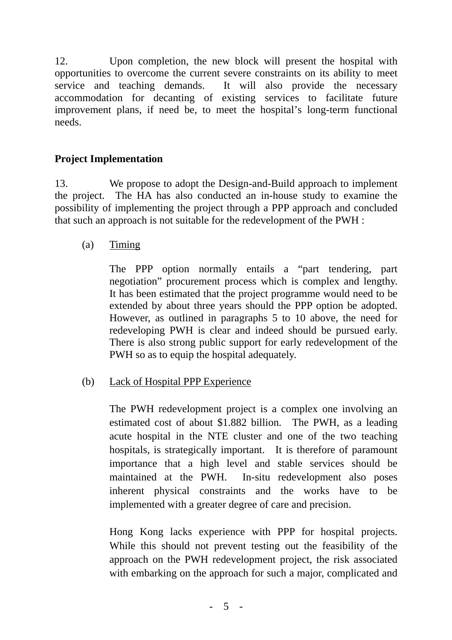12. Upon completion, the new block will present the hospital with opportunities to overcome the current severe constraints on its ability to meet service and teaching demands. It will also provide the necessary accommodation for decanting of existing services to facilitate future improvement plans, if need be, to meet the hospital's long-term functional needs.

# **Project Implementation**

13. We propose to adopt the Design-and-Build approach to implement the project. The HA has also conducted an in-house study to examine the possibility of implementing the project through a PPP approach and concluded that such an approach is not suitable for the redevelopment of the PWH :

(a) Timing

 The PPP option normally entails a "part tendering, part negotiation" procurement process which is complex and lengthy. It has been estimated that the project programme would need to be extended by about three years should the PPP option be adopted. However, as outlined in paragraphs 5 to 10 above, the need for redeveloping PWH is clear and indeed should be pursued early. There is also strong public support for early redevelopment of the PWH so as to equip the hospital adequately.

(b) Lack of Hospital PPP Experience

 The PWH redevelopment project is a complex one involving an estimated cost of about \$1.882 billion. The PWH, as a leading acute hospital in the NTE cluster and one of the two teaching hospitals, is strategically important. It is therefore of paramount importance that a high level and stable services should be maintained at the PWH. In-situ redevelopment also poses inherent physical constraints and the works have to be implemented with a greater degree of care and precision.

Hong Kong lacks experience with PPP for hospital projects. While this should not prevent testing out the feasibility of the approach on the PWH redevelopment project, the risk associated with embarking on the approach for such a major, complicated and